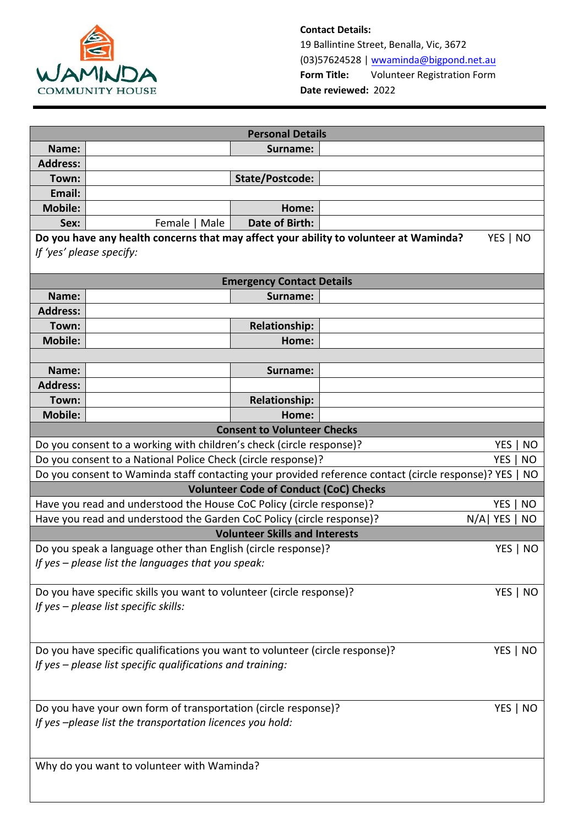

| <b>Personal Details</b>                                                                                                                    |                                                                      |                                               |  |                         |  |  |  |  |  |
|--------------------------------------------------------------------------------------------------------------------------------------------|----------------------------------------------------------------------|-----------------------------------------------|--|-------------------------|--|--|--|--|--|
| Name:                                                                                                                                      |                                                                      | Surname:                                      |  |                         |  |  |  |  |  |
| <b>Address:</b>                                                                                                                            |                                                                      |                                               |  |                         |  |  |  |  |  |
| Town:                                                                                                                                      |                                                                      | State/Postcode:                               |  |                         |  |  |  |  |  |
| Email:                                                                                                                                     |                                                                      |                                               |  |                         |  |  |  |  |  |
| <b>Mobile:</b>                                                                                                                             |                                                                      | Home:                                         |  |                         |  |  |  |  |  |
| Sex:                                                                                                                                       | Female   Male                                                        | <b>Date of Birth:</b>                         |  |                         |  |  |  |  |  |
| Do you have any health concerns that may affect your ability to volunteer at Waminda?<br>YES   NO<br>If 'yes' please specify:              |                                                                      |                                               |  |                         |  |  |  |  |  |
|                                                                                                                                            |                                                                      | <b>Emergency Contact Details</b>              |  |                         |  |  |  |  |  |
| Name:                                                                                                                                      |                                                                      | Surname:                                      |  |                         |  |  |  |  |  |
| <b>Address:</b>                                                                                                                            |                                                                      |                                               |  |                         |  |  |  |  |  |
| Town:                                                                                                                                      |                                                                      | <b>Relationship:</b>                          |  |                         |  |  |  |  |  |
| <b>Mobile:</b>                                                                                                                             |                                                                      | Home:                                         |  |                         |  |  |  |  |  |
| Name:                                                                                                                                      |                                                                      | Surname:                                      |  |                         |  |  |  |  |  |
| <b>Address:</b>                                                                                                                            |                                                                      |                                               |  |                         |  |  |  |  |  |
| Town:                                                                                                                                      |                                                                      | <b>Relationship:</b>                          |  |                         |  |  |  |  |  |
| <b>Mobile:</b>                                                                                                                             |                                                                      | Home:                                         |  |                         |  |  |  |  |  |
|                                                                                                                                            | <b>Consent to Volunteer Checks</b>                                   |                                               |  |                         |  |  |  |  |  |
| Do you consent to a working with children's check (circle response)?<br><b>YES</b><br><b>NO</b>                                            |                                                                      |                                               |  |                         |  |  |  |  |  |
|                                                                                                                                            | Do you consent to a National Police Check (circle response)?         |                                               |  | <b>YES</b><br><b>NO</b> |  |  |  |  |  |
| Do you consent to Waminda staff contacting your provided reference contact (circle response)? YES  <br><b>NO</b>                           |                                                                      |                                               |  |                         |  |  |  |  |  |
|                                                                                                                                            |                                                                      | <b>Volunteer Code of Conduct (CoC) Checks</b> |  |                         |  |  |  |  |  |
| Have you read and understood the House CoC Policy (circle response)?<br>YES  <br><b>NO</b>                                                 |                                                                      |                                               |  |                         |  |  |  |  |  |
| Have you read and understood the Garden CoC Policy (circle response)?<br>$N/A$   YES   NO                                                  |                                                                      |                                               |  |                         |  |  |  |  |  |
|                                                                                                                                            |                                                                      | <b>Volunteer Skills and Interests</b>         |  |                         |  |  |  |  |  |
|                                                                                                                                            | Do you speak a language other than English (circle response)?        |                                               |  | YES   NO                |  |  |  |  |  |
|                                                                                                                                            | If yes - please list the languages that you speak:                   |                                               |  |                         |  |  |  |  |  |
|                                                                                                                                            | Do you have specific skills you want to volunteer (circle response)? |                                               |  | YES   NO                |  |  |  |  |  |
|                                                                                                                                            |                                                                      |                                               |  |                         |  |  |  |  |  |
| If yes $-$ please list specific skills:                                                                                                    |                                                                      |                                               |  |                         |  |  |  |  |  |
|                                                                                                                                            |                                                                      |                                               |  |                         |  |  |  |  |  |
|                                                                                                                                            | YES   NO                                                             |                                               |  |                         |  |  |  |  |  |
| Do you have specific qualifications you want to volunteer (circle response)?<br>If yes – please list specific qualifications and training: |                                                                      |                                               |  |                         |  |  |  |  |  |
|                                                                                                                                            |                                                                      |                                               |  |                         |  |  |  |  |  |
|                                                                                                                                            |                                                                      |                                               |  |                         |  |  |  |  |  |
| Do you have your own form of transportation (circle response)?                                                                             | YES   NO                                                             |                                               |  |                         |  |  |  |  |  |
| If yes-please list the transportation licences you hold:                                                                                   |                                                                      |                                               |  |                         |  |  |  |  |  |
|                                                                                                                                            |                                                                      |                                               |  |                         |  |  |  |  |  |
|                                                                                                                                            |                                                                      |                                               |  |                         |  |  |  |  |  |
| Why do you want to volunteer with Waminda?                                                                                                 |                                                                      |                                               |  |                         |  |  |  |  |  |
|                                                                                                                                            |                                                                      |                                               |  |                         |  |  |  |  |  |